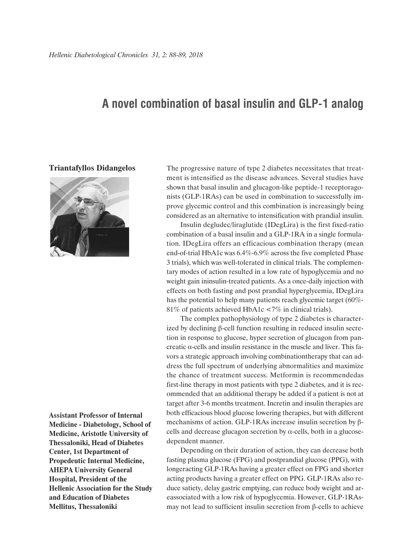## **A novel combination of basal insulin and GLP-1 analog**

## **Triantafyllos Didangelos**



**Assistant Professor of Internal Medicine - Diabetology, School of Medicine, Aristotle University of Thessaloniki, Head of Diabetes Center, 1st Department of Propedeutic Internal Medicine, AHEPA University General Hospital, President of the Hellenic Association for the Study and Education of Diabetes Mellitus, Thessaloniki**

The progressive nature of type 2 diabetes necessitates that treatment is intensified as the disease advances. Several studies have shown that basal insulin and glucagon-like peptide-1 receptoragonists (GLP-1RAs) can be used in combination to successfully improve glycemic control and this combination is increasingly being considered as an alternative to intensification with prandial insulin.

Insulin degludec/liraglutide (IDegLira) is the first fixed-ratio combination of a basal insulin and a GLP-1RA in a single formulation. IDegLira offers an efficacious combination therapy (mean end-of-trial HbA1c was 6.4%-6.9% across the five completed Phase 3 trials), which was well-tolerated in clinical trials. The complementary modes of action resulted in a low rate of hypoglycemia and no weight gain ininsulin-treated patients. As a once-daily injection with effects on both fasting and post prandial hyperglycemia, IDegLira has the potential to help many patients reach glycemic target (60%- 81% of patients achieved HbA1c <7% in clinical trials).

The complex pathophysiology of type 2 diabetes is characterized by declining β-cell function resulting in reduced insulin secretion in response to glucose, hyper secretion of glucagon from pancreatic α-cells and insulin resistance in the muscle and liver. This favors a strategic approach involving combinationtherapy that can address the full spectrum of underlying abnormalities and maximize the chance of treatment success. Metformin is recommendedas first-line therapy in most patients with type 2 diabetes, and it is recommended that an additional therapy be added if a patient is not at target after 3-6 months treatment. Incretin and insulin therapies are both efficacious blood glucose lowering therapies, but with different mechanisms of action. GLP-1RAs increase insulin secretion by βcells and decrease glucagon secretion by  $\alpha$ -cells, both in a glucosedependent manner.

Depending on their duration of action, they can decrease both fasting plasma glucose (FPG) and postprandial glucose (PPG), with longeracting GLP-1RAs having a greater effect on FPG and shorter acting products having a greater effect on PPG. GLP-1RAs also reduce satiety, delay gastric emptying, can reduce body weight and areassociated with a low risk of hypoglycemia. However, GLP-1RAsmay not lead to sufficient insulin secretion from β-cells to achieve